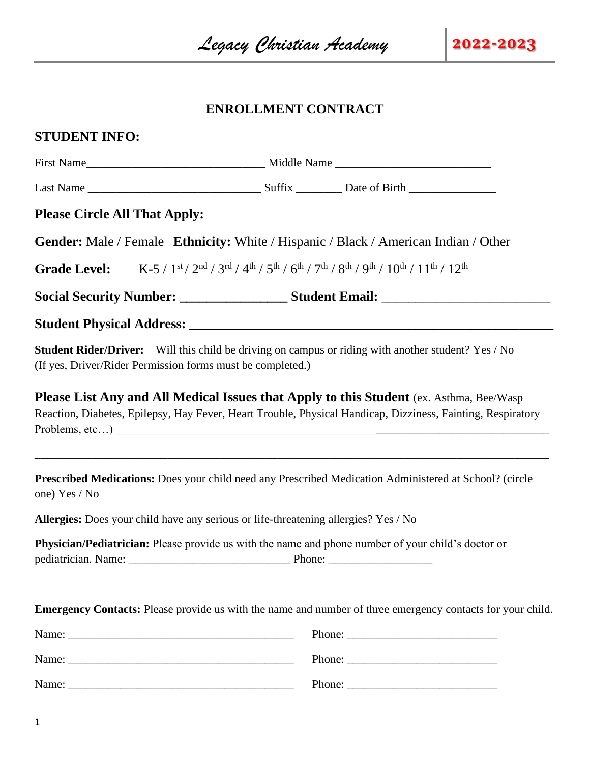## **ENROLLMENT CONTRACT**

## **STUDENT INFO:**

| <b>Please Circle All That Apply:</b>                       |                                                                                                                                                                                                                |  |  |
|------------------------------------------------------------|----------------------------------------------------------------------------------------------------------------------------------------------------------------------------------------------------------------|--|--|
|                                                            | <b>Gender:</b> Male / Female <b>Ethnicity:</b> White / Hispanic / Black / American Indian / Other                                                                                                              |  |  |
| <b>Grade Level:</b>                                        | $K-5/1^{st}/2^{nd}/3^{rd}/4^{th}/5^{th}/6^{th}/7^{th}/8^{th}/9^{th}/10^{th}/11^{th}/12^{th}$                                                                                                                   |  |  |
|                                                            | Social Security Number: ________________________Student Email: __________________                                                                                                                              |  |  |
|                                                            |                                                                                                                                                                                                                |  |  |
| (If yes, Driver/Rider Permission forms must be completed.) | Student Rider/Driver: Will this child be driving on campus or riding with another student? Yes / No                                                                                                            |  |  |
|                                                            | <b>Please List Any and All Medical Issues that Apply to this Student (ex. Asthma, Bee/Wasp)</b><br>Reaction, Diabetes, Epilepsy, Hay Fever, Heart Trouble, Physical Handicap, Dizziness, Fainting, Respiratory |  |  |
| one) Yes / No                                              | Prescribed Medications: Does your child need any Prescribed Medication Administered at School? (circle                                                                                                         |  |  |
|                                                            | Allergies: Does your child have any serious or life-threatening allergies? Yes / No                                                                                                                            |  |  |
|                                                            | Physician/Pediatrician: Please provide us with the name and phone number of your child's doctor or                                                                                                             |  |  |
|                                                            | Emergency Contacts: Please provide us with the name and number of three emergency contacts for your child.                                                                                                     |  |  |
|                                                            |                                                                                                                                                                                                                |  |  |
|                                                            |                                                                                                                                                                                                                |  |  |
|                                                            |                                                                                                                                                                                                                |  |  |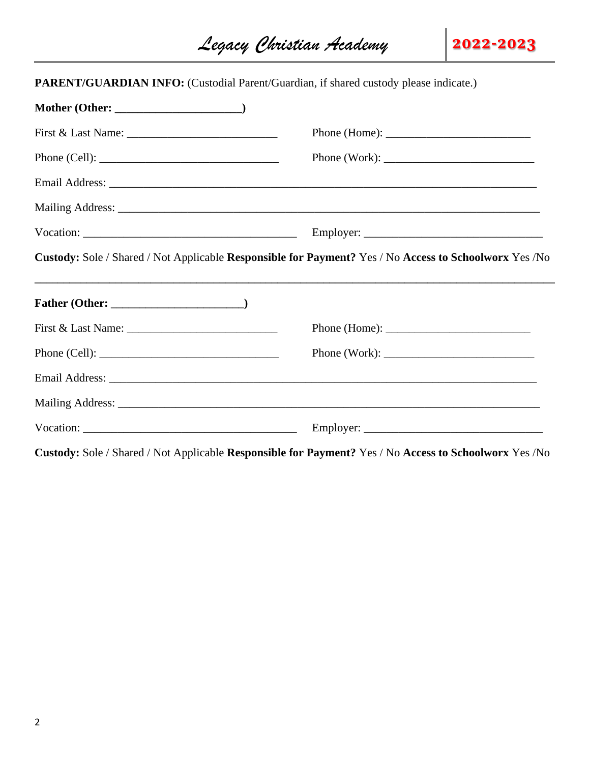*Legacy Christian Academy* **2022-2023**

| <b>PARENT/GUARDIAN INFO:</b> (Custodial Parent/Guardian, if shared custody please indicate.) |                                                                                                                                                                                                                                                                                                                                                                                                         |
|----------------------------------------------------------------------------------------------|---------------------------------------------------------------------------------------------------------------------------------------------------------------------------------------------------------------------------------------------------------------------------------------------------------------------------------------------------------------------------------------------------------|
|                                                                                              |                                                                                                                                                                                                                                                                                                                                                                                                         |
|                                                                                              | Phone (Home): $\frac{1}{\sqrt{1-\frac{1}{2}} \cdot \frac{1}{2}}$                                                                                                                                                                                                                                                                                                                                        |
|                                                                                              | Phone (Work): $\frac{1}{\sqrt{1-\frac{1}{2}}\sqrt{1-\frac{1}{2}}\sqrt{1-\frac{1}{2}}\sqrt{1-\frac{1}{2}}\sqrt{1-\frac{1}{2}}\sqrt{1-\frac{1}{2}}\sqrt{1-\frac{1}{2}}\sqrt{1-\frac{1}{2}}\sqrt{1-\frac{1}{2}}\sqrt{1-\frac{1}{2}}\sqrt{1-\frac{1}{2}}\sqrt{1-\frac{1}{2}}\sqrt{1-\frac{1}{2}}\sqrt{1-\frac{1}{2}}\sqrt{1-\frac{1}{2}}\sqrt{1-\frac{1}{2}}\sqrt{1-\frac{1}{2}}\sqrt{1-\frac{1}{2}}\sqrt{$ |
|                                                                                              |                                                                                                                                                                                                                                                                                                                                                                                                         |
|                                                                                              |                                                                                                                                                                                                                                                                                                                                                                                                         |
|                                                                                              |                                                                                                                                                                                                                                                                                                                                                                                                         |
|                                                                                              | Custody: Sole / Shared / Not Applicable Responsible for Payment? Yes / No Access to Schoolworx Yes / No                                                                                                                                                                                                                                                                                                 |
|                                                                                              |                                                                                                                                                                                                                                                                                                                                                                                                         |
|                                                                                              | Phone (Home): $\frac{1}{\sqrt{1-\frac{1}{2}} \cdot \frac{1}{2}}$                                                                                                                                                                                                                                                                                                                                        |
| Phone (Cell): $\qquad \qquad$                                                                | Phone (Work): $\frac{1}{\sqrt{1-\frac{1}{2}}\sqrt{1-\frac{1}{2}}\sqrt{1-\frac{1}{2}}\sqrt{1-\frac{1}{2}}\sqrt{1-\frac{1}{2}}\sqrt{1-\frac{1}{2}}\sqrt{1-\frac{1}{2}}\sqrt{1-\frac{1}{2}}\sqrt{1-\frac{1}{2}}\sqrt{1-\frac{1}{2}}\sqrt{1-\frac{1}{2}}\sqrt{1-\frac{1}{2}}\sqrt{1-\frac{1}{2}}\sqrt{1-\frac{1}{2}}\sqrt{1-\frac{1}{2}}\sqrt{1-\frac{1}{2}}\sqrt{1-\frac{1}{2}}\sqrt{1-\frac{1}{2}}\sqrt{$ |
|                                                                                              |                                                                                                                                                                                                                                                                                                                                                                                                         |
|                                                                                              |                                                                                                                                                                                                                                                                                                                                                                                                         |
|                                                                                              |                                                                                                                                                                                                                                                                                                                                                                                                         |
|                                                                                              | Custody: Sole / Shared / Not Applicable Responsible for Payment? Yes / No Access to Schoolworx Yes /No                                                                                                                                                                                                                                                                                                  |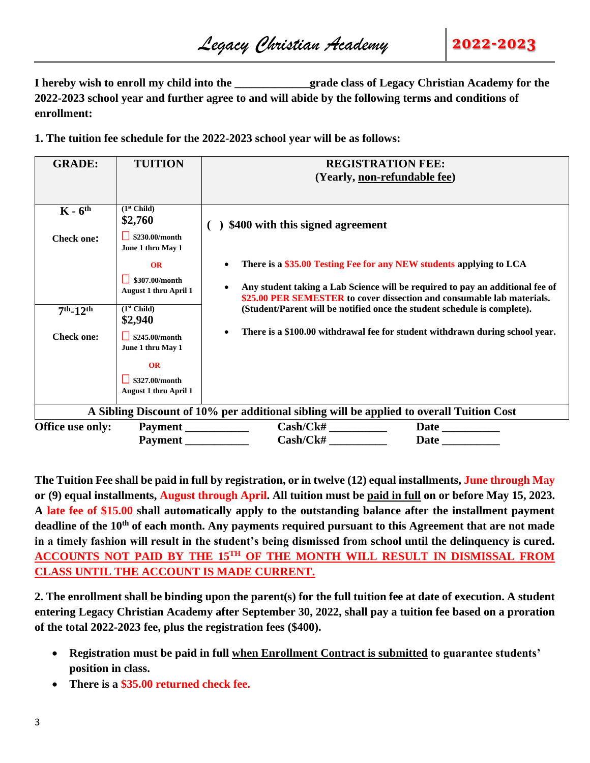**I hereby wish to enroll my child into the**  $q$  **rade class of Legacy Christian Academy for the 2022-2023 school year and further agree to and will abide by the following terms and conditions of enrollment:**

**1. The tuition fee schedule for the 2022-2023 school year will be as follows:**

| <b>GRADE:</b>     | <b>TUITION</b>                                       | <b>REGISTRATION FEE:</b>                                                                                                                                |  |  |  |
|-------------------|------------------------------------------------------|---------------------------------------------------------------------------------------------------------------------------------------------------------|--|--|--|
|                   |                                                      | (Yearly, non-refundable fee)                                                                                                                            |  |  |  |
|                   |                                                      |                                                                                                                                                         |  |  |  |
| $K - 6th$         | (1 <sup>st</sup> Child)<br>\$2,760                   | \$400 with this signed agreement                                                                                                                        |  |  |  |
| <b>Check one:</b> | \$230.00/month<br>June 1 thru May 1                  |                                                                                                                                                         |  |  |  |
|                   | OR                                                   | There is a \$35.00 Testing Fee for any NEW students applying to LCA                                                                                     |  |  |  |
|                   | \$307.00/month<br><b>August 1 thru April 1</b>       | Any student taking a Lab Science will be required to pay an additional fee of<br>\$25.00 PER SEMESTER to cover dissection and consumable lab materials. |  |  |  |
| $7th - 12th$      | (1 <sup>st</sup> Child)<br>\$2,940                   | (Student/Parent will be notified once the student schedule is complete).                                                                                |  |  |  |
| <b>Check one:</b> | $\frac{1}{2}$ \$245.00/month<br>June 1 thru May 1    | There is a \$100.00 withdrawal fee for student withdrawn during school year.                                                                            |  |  |  |
|                   | OR<br>\$327.00/month<br><b>August 1 thru April 1</b> |                                                                                                                                                         |  |  |  |
|                   |                                                      | A Sibling Discount of 10% per additional sibling will be applied to overall Tuition Cost                                                                |  |  |  |
| Office use only:  | Payment                                              | Cash/Ck#                                                                                                                                                |  |  |  |
|                   | Payment                                              | Cash/CK#<br><b>Date</b>                                                                                                                                 |  |  |  |

**The Tuition Fee shall be paid in full by registration, or in twelve (12) equal installments, June through May or (9) equal installments, August through April. All tuition must be paid in full on or before May 15, 2023. A late fee of \$15.00 shall automatically apply to the outstanding balance after the installment payment deadline of the 10th of each month. Any payments required pursuant to this Agreement that are not made in a timely fashion will result in the student's being dismissed from school until the delinquency is cured. ACCOUNTS NOT PAID BY THE 15TH OF THE MONTH WILL RESULT IN DISMISSAL FROM CLASS UNTIL THE ACCOUNT IS MADE CURRENT.** 

**2. The enrollment shall be binding upon the parent(s) for the full tuition fee at date of execution. A student entering Legacy Christian Academy after September 30, 2022, shall pay a tuition fee based on a proration of the total 2022-2023 fee, plus the registration fees (\$400).** 

- **Registration must be paid in full when Enrollment Contract is submitted to guarantee students' position in class.**
- **There is a \$35.00 returned check fee.**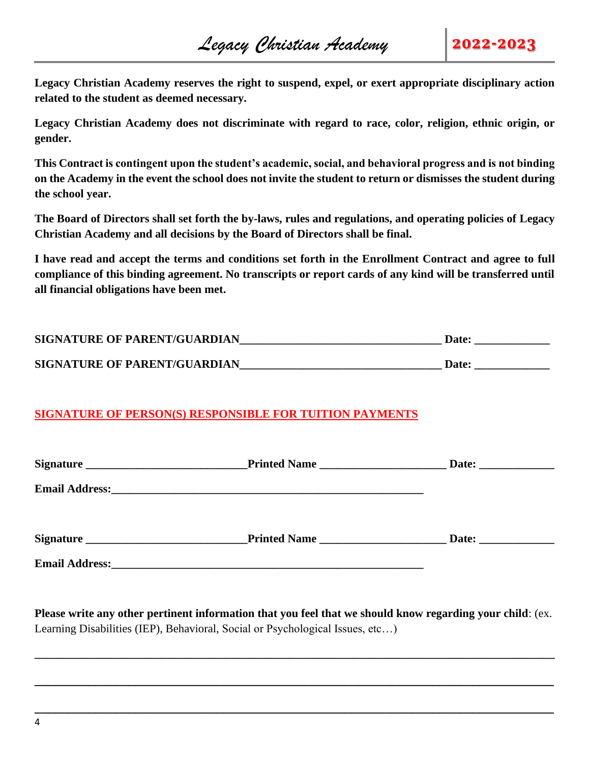**Legacy Christian Academy reserves the right to suspend, expel, or exert appropriate disciplinary action related to the student as deemed necessary.** 

**Legacy Christian Academy does not discriminate with regard to race, color, religion, ethnic origin, or gender.** 

**This Contract is contingent upon the student's academic, social, and behavioral progress and is not binding on the Academy in the event the school does not invite the student to return or dismisses the student during the school year.** 

**The Board of Directors shall set forth the by-laws, rules and regulations, and operating policies of Legacy Christian Academy and all decisions by the Board of Directors shall be final.** 

**I have read and accept the terms and conditions set forth in the Enrollment Contract and agree to full compliance of this binding agreement. No transcripts or report cards of any kind will be transferred until all financial obligations have been met.**

| <b>SIGNATURE OF PARENT/GUARDIAN</b> | Date: |
|-------------------------------------|-------|
| <b>SIGNATURE OF PARENT/GUARDIAN</b> | Date: |

## **SIGNATURE OF PERSON(S) RESPONSIBLE FOR TUITION PAYMENTS**

|                       | Printed Name                                                                                                         | Date: ________________ |
|-----------------------|----------------------------------------------------------------------------------------------------------------------|------------------------|
|                       |                                                                                                                      |                        |
|                       | Printed Name                                                                                                         | Date:                  |
| <b>Email Address:</b> | <u> 1989 - Andrea Stadt Britain, amerikan bisa di sebagai personal di sebagai personal di sebagai personal di se</u> |                        |

**Please write any other pertinent information that you feel that we should know regarding your child**: (ex. Learning Disabilities (IEP), Behavioral, Social or Psychological Issues, etc…)

**\_\_\_\_\_\_\_\_\_\_\_\_\_\_\_\_\_\_\_\_\_\_\_\_\_\_\_\_\_\_\_\_\_\_\_\_\_\_\_\_\_\_\_\_\_\_\_\_\_\_\_\_\_\_\_\_\_\_\_\_\_\_\_\_\_\_\_\_\_\_\_\_\_\_\_\_\_\_\_\_\_\_\_\_\_\_\_\_\_\_**

**\_\_\_\_\_\_\_\_\_\_\_\_\_\_\_\_\_\_\_\_\_\_\_\_\_\_\_\_\_\_\_\_\_\_\_\_\_\_\_\_\_\_\_\_\_\_\_\_\_\_\_\_\_\_\_\_\_\_\_\_\_\_\_\_\_\_\_\_\_\_\_\_\_\_\_\_\_**

**\_\_\_\_\_\_\_\_\_\_\_\_\_\_\_\_\_\_\_\_\_\_\_\_\_\_\_\_\_\_\_\_\_\_\_\_\_\_\_\_\_\_\_\_\_\_\_\_\_\_\_\_\_\_\_\_\_\_\_\_\_\_\_\_\_\_\_\_\_\_\_\_\_\_\_\_\_**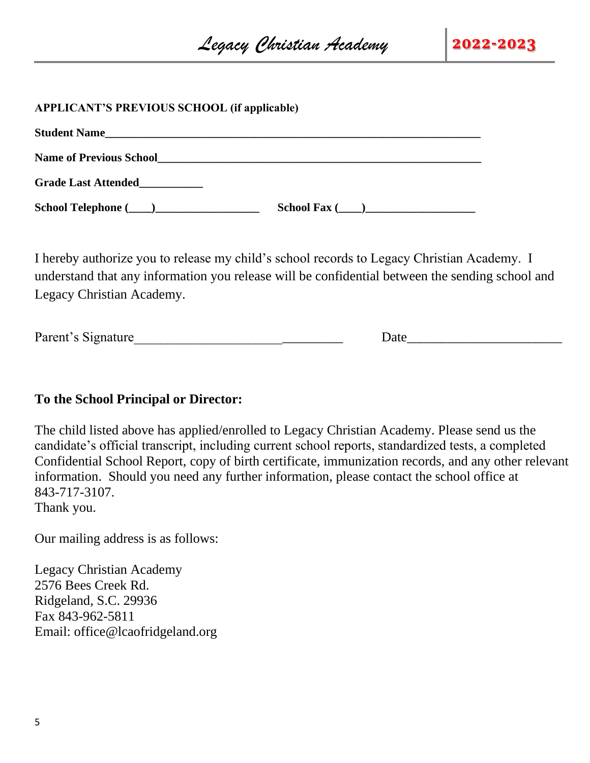#### **APPLICANT'S PREVIOUS SCHOOL (if applicable)**

| <b>Student Name</b>            |                     |  |
|--------------------------------|---------------------|--|
| <b>Name of Previous School</b> |                     |  |
| <b>Grade Last Attended</b>     |                     |  |
|                                | School Fax $(\_\_)$ |  |

I hereby authorize you to release my child's school records to Legacy Christian Academy. I understand that any information you release will be confidential between the sending school and Legacy Christian Academy.

Parent's Signature **Example 20** and 20 and 20 and 20 and 20 and 20 and 20 and 20 and 20 and 20 and 20 and 20 and 20 and 20 and 20 and 20 and 20 and 20 and 20 and 20 and 20 and 20 and 20 and 20 and 20 and 20 and 20 and 20 a

## **To the School Principal or Director:**

The child listed above has applied/enrolled to Legacy Christian Academy. Please send us the candidate's official transcript, including current school reports, standardized tests, a completed Confidential School Report, copy of birth certificate, immunization records, and any other relevant information. Should you need any further information, please contact the school office at 843-717-3107.

Thank you.

Our mailing address is as follows:

Legacy Christian Academy 2576 Bees Creek Rd. Ridgeland, S.C. 29936 Fax 843-962-5811 Email: office@lcaofridgeland.org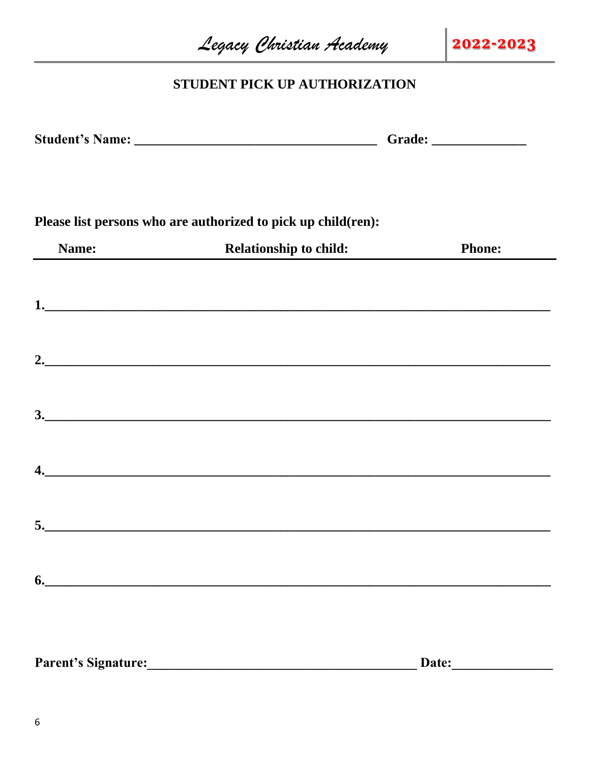|                            | Legacy Christian Academy                                                                                              | 2022-2023     |
|----------------------------|-----------------------------------------------------------------------------------------------------------------------|---------------|
|                            | STUDENT PICK UP AUTHORIZATION                                                                                         |               |
|                            |                                                                                                                       |               |
|                            | Please list persons who are authorized to pick up child(ren):                                                         |               |
| Name:                      | <b>Relationship to child:</b>                                                                                         | <b>Phone:</b> |
|                            |                                                                                                                       |               |
|                            |                                                                                                                       |               |
|                            |                                                                                                                       |               |
| 4.                         | <u> 1989 - Johann Harry Harry Harry Harry Harry Harry Harry Harry Harry Harry Harry Harry Harry Harry Harry Harry</u> |               |
| 5.                         |                                                                                                                       |               |
| 6.                         |                                                                                                                       |               |
| <b>Parent's Signature:</b> |                                                                                                                       | Date:         |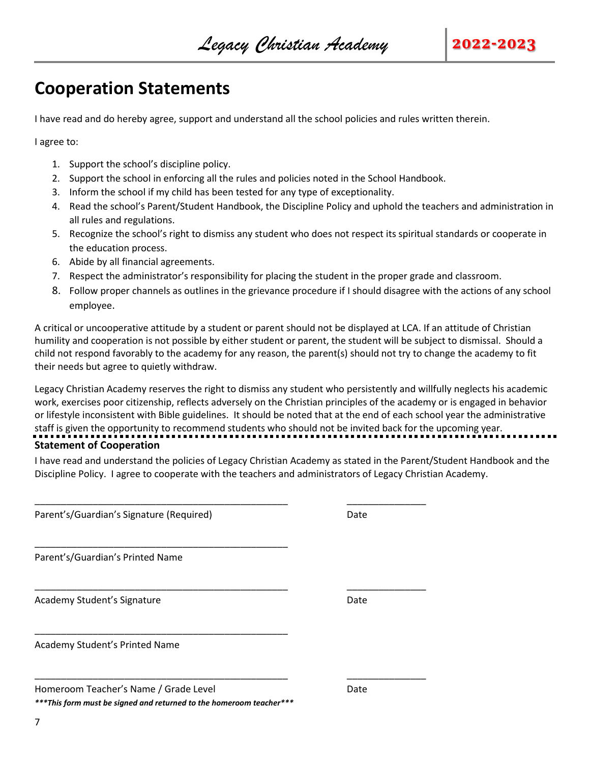## **Cooperation Statements**

I have read and do hereby agree, support and understand all the school policies and rules written therein.

I agree to:

- 1. Support the school's discipline policy.
- 2. Support the school in enforcing all the rules and policies noted in the School Handbook.
- 3. Inform the school if my child has been tested for any type of exceptionality.

\_\_\_\_\_\_\_\_\_\_\_\_\_\_\_\_\_\_\_\_\_\_\_\_\_\_\_\_\_\_\_\_\_\_\_\_\_\_\_\_\_\_\_\_\_\_\_\_ \_\_\_\_\_\_\_\_\_\_\_\_\_\_\_

\_\_\_\_\_\_\_\_\_\_\_\_\_\_\_\_\_\_\_\_\_\_\_\_\_\_\_\_\_\_\_\_\_\_\_\_\_\_\_\_\_\_\_\_\_\_\_\_ \_\_\_\_\_\_\_\_\_\_\_\_\_\_\_

\_\_\_\_\_\_\_\_\_\_\_\_\_\_\_\_\_\_\_\_\_\_\_\_\_\_\_\_\_\_\_\_\_\_\_\_\_\_\_\_\_\_\_\_\_\_\_\_ \_\_\_\_\_\_\_\_\_\_\_\_\_\_\_

- 4. Read the school's Parent/Student Handbook, the Discipline Policy and uphold the teachers and administration in all rules and regulations.
- 5. Recognize the school's right to dismiss any student who does not respect its spiritual standards or cooperate in the education process.
- 6. Abide by all financial agreements.
- 7. Respect the administrator's responsibility for placing the student in the proper grade and classroom.
- 8. Follow proper channels as outlines in the grievance procedure if I should disagree with the actions of any school employee.

A critical or uncooperative attitude by a student or parent should not be displayed at LCA. If an attitude of Christian humility and cooperation is not possible by either student or parent, the student will be subject to dismissal. Should a child not respond favorably to the academy for any reason, the parent(s) should not try to change the academy to fit their needs but agree to quietly withdraw.

Legacy Christian Academy reserves the right to dismiss any student who persistently and willfully neglects his academic work, exercises poor citizenship, reflects adversely on the Christian principles of the academy or is engaged in behavior or lifestyle inconsistent with Bible guidelines. It should be noted that at the end of each school year the administrative staff is given the opportunity to recommend students who should not be invited back for the upcoming year. **Statement of Cooperation**

I have read and understand the policies of Legacy Christian Academy as stated in the Parent/Student Handbook and the Discipline Policy. I agree to cooperate with the teachers and administrators of Legacy Christian Academy.

Parent's/Guardian's Signature (Required) Date of the Date of Date of Date of Date of Date of Date of Date of D

Parent's/Guardian's Printed Name

Academy Student's Signature **Date of Academy Student's Signature** Date

Academy Student's Printed Name

| Homeroom Teacher's Name / Grade Level | Date |
|---------------------------------------|------|
|---------------------------------------|------|

*\*\*\*This form must be signed and returned to the homeroom teacher\*\*\**

\_\_\_\_\_\_\_\_\_\_\_\_\_\_\_\_\_\_\_\_\_\_\_\_\_\_\_\_\_\_\_\_\_\_\_\_\_\_\_\_\_\_\_\_\_\_\_\_

\_\_\_\_\_\_\_\_\_\_\_\_\_\_\_\_\_\_\_\_\_\_\_\_\_\_\_\_\_\_\_\_\_\_\_\_\_\_\_\_\_\_\_\_\_\_\_\_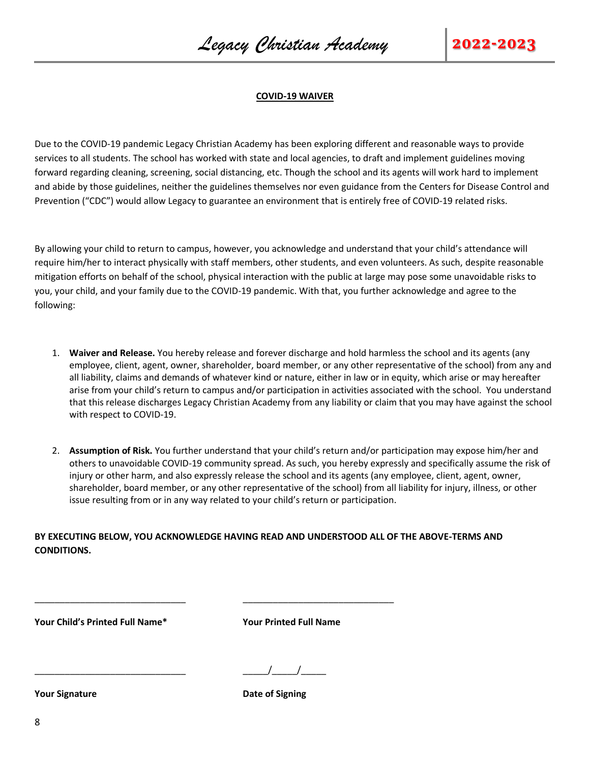#### **COVID-19 WAIVER**

Due to the COVID-19 pandemic Legacy Christian Academy has been exploring different and reasonable ways to provide services to all students. The school has worked with state and local agencies, to draft and implement guidelines moving forward regarding cleaning, screening, social distancing, etc. Though the school and its agents will work hard to implement and abide by those guidelines, neither the guidelines themselves nor even guidance from the Centers for Disease Control and Prevention ("CDC") would allow Legacy to guarantee an environment that is entirely free of COVID-19 related risks.

By allowing your child to return to campus, however, you acknowledge and understand that your child's attendance will require him/her to interact physically with staff members, other students, and even volunteers. As such, despite reasonable mitigation efforts on behalf of the school, physical interaction with the public at large may pose some unavoidable risks to you, your child, and your family due to the COVID-19 pandemic. With that, you further acknowledge and agree to the following:

- 1. **Waiver and Release.** You hereby release and forever discharge and hold harmless the school and its agents (any employee, client, agent, owner, shareholder, board member, or any other representative of the school) from any and all liability, claims and demands of whatever kind or nature, either in law or in equity, which arise or may hereafter arise from your child's return to campus and/or participation in activities associated with the school. You understand that this release discharges Legacy Christian Academy from any liability or claim that you may have against the school with respect to COVID-19.
- 2. **Assumption of Risk.** You further understand that your child's return and/or participation may expose him/her and others to unavoidable COVID-19 community spread. As such, you hereby expressly and specifically assume the risk of injury or other harm, and also expressly release the school and its agents (any employee, client, agent, owner, shareholder, board member, or any other representative of the school) from all liability for injury, illness, or other issue resulting from or in any way related to your child's return or participation.

**BY EXECUTING BELOW, YOU ACKNOWLEDGE HAVING READ AND UNDERSTOOD ALL OF THE ABOVE-TERMS AND CONDITIONS.** 

\_\_\_\_\_\_\_\_\_\_\_\_\_\_\_\_\_\_\_\_\_\_\_\_\_\_\_\_\_\_ \_\_\_\_\_\_\_\_\_\_\_\_\_\_\_\_\_\_\_\_\_\_\_\_\_\_\_\_\_\_

**Your Child's Printed Full Name\* Your Printed Full Name**

 $\frac{1}{1}$ 

**Your Signature Date of Signing**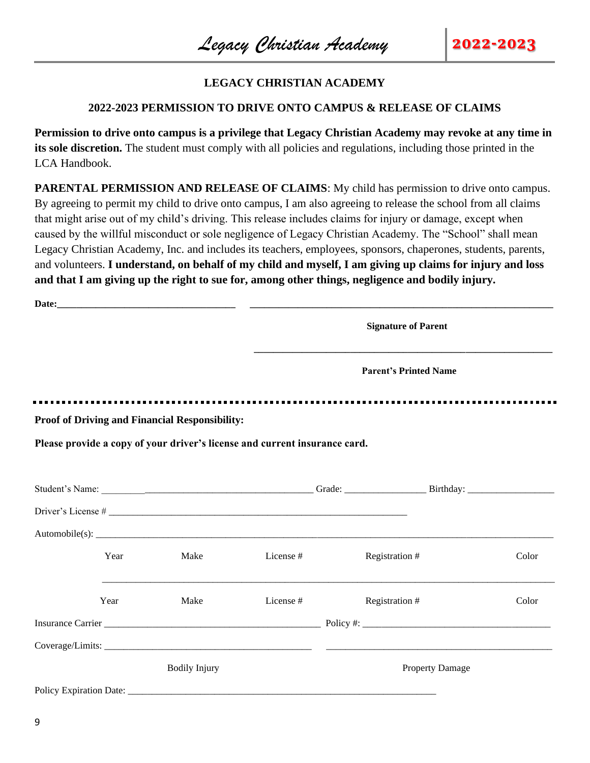## **LEGACY CHRISTIAN ACADEMY**

#### **2022-2023 PERMISSION TO DRIVE ONTO CAMPUS & RELEASE OF CLAIMS**

**Permission to drive onto campus is a privilege that Legacy Christian Academy may revoke at any time in its sole discretion.** The student must comply with all policies and regulations, including those printed in the LCA Handbook.

**PARENTAL PERMISSION AND RELEASE OF CLAIMS:** My child has permission to drive onto campus. By agreeing to permit my child to drive onto campus, I am also agreeing to release the school from all claims that might arise out of my child's driving. This release includes claims for injury or damage, except when caused by the willful misconduct or sole negligence of Legacy Christian Academy. The "School" shall mean Legacy Christian Academy, Inc. and includes its teachers, employees, sponsors, chaperones, students, parents, and volunteers. **I understand, on behalf of my child and myself, I am giving up claims for injury and loss and that I am giving up the right to sue for, among other things, negligence and bodily injury.** 

|      |                                                       |                                                                            | <b>Signature of Parent</b>   |       |
|------|-------------------------------------------------------|----------------------------------------------------------------------------|------------------------------|-------|
|      |                                                       |                                                                            | <b>Parent's Printed Name</b> |       |
|      | <b>Proof of Driving and Financial Responsibility:</b> |                                                                            |                              |       |
|      |                                                       | Please provide a copy of your driver's license and current insurance card. |                              |       |
|      |                                                       |                                                                            |                              |       |
|      |                                                       |                                                                            |                              |       |
|      |                                                       |                                                                            |                              |       |
| Year | Make                                                  | License #                                                                  | Registration #               | Color |
| Year | Make                                                  | License #                                                                  | Registration #               | Color |
|      |                                                       |                                                                            |                              |       |
|      |                                                       |                                                                            |                              |       |
|      | <b>Bodily Injury</b>                                  |                                                                            | <b>Property Damage</b>       |       |
|      |                                                       |                                                                            |                              |       |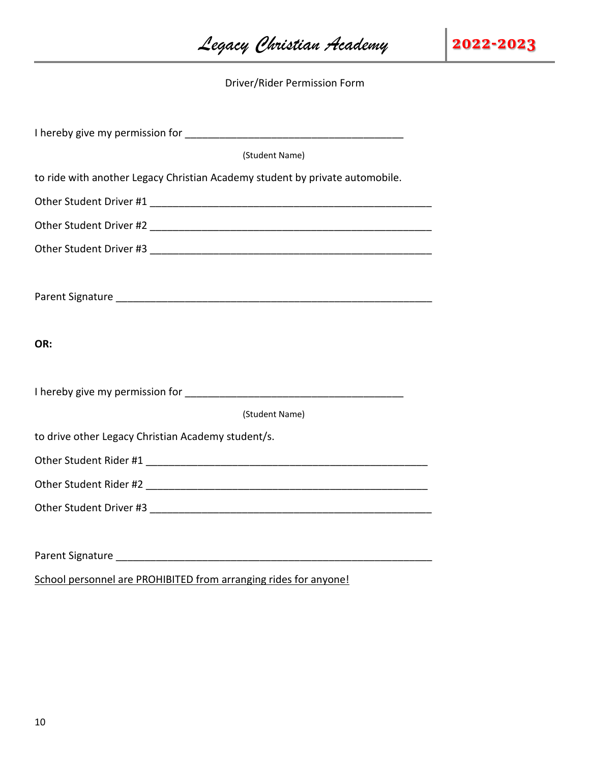*Legacy Christian Academy* **2022-2023**

Driver/Rider Permission Form

| (Student Name)                                                                                                                                                                                                                 |
|--------------------------------------------------------------------------------------------------------------------------------------------------------------------------------------------------------------------------------|
| to ride with another Legacy Christian Academy student by private automobile.                                                                                                                                                   |
|                                                                                                                                                                                                                                |
|                                                                                                                                                                                                                                |
| Other Student Driver #3                                                                                                                                                                                                        |
|                                                                                                                                                                                                                                |
|                                                                                                                                                                                                                                |
|                                                                                                                                                                                                                                |
| OR:                                                                                                                                                                                                                            |
|                                                                                                                                                                                                                                |
|                                                                                                                                                                                                                                |
| (Student Name)                                                                                                                                                                                                                 |
| to drive other Legacy Christian Academy student/s.                                                                                                                                                                             |
|                                                                                                                                                                                                                                |
|                                                                                                                                                                                                                                |
|                                                                                                                                                                                                                                |
|                                                                                                                                                                                                                                |
| Parent Signature and the contract of the contract of the contract of the contract of the contract of the contract of the contract of the contract of the contract of the contract of the contract of the contract of the contr |
| School personnel are PROHIBITED from arranging rides for anyone!                                                                                                                                                               |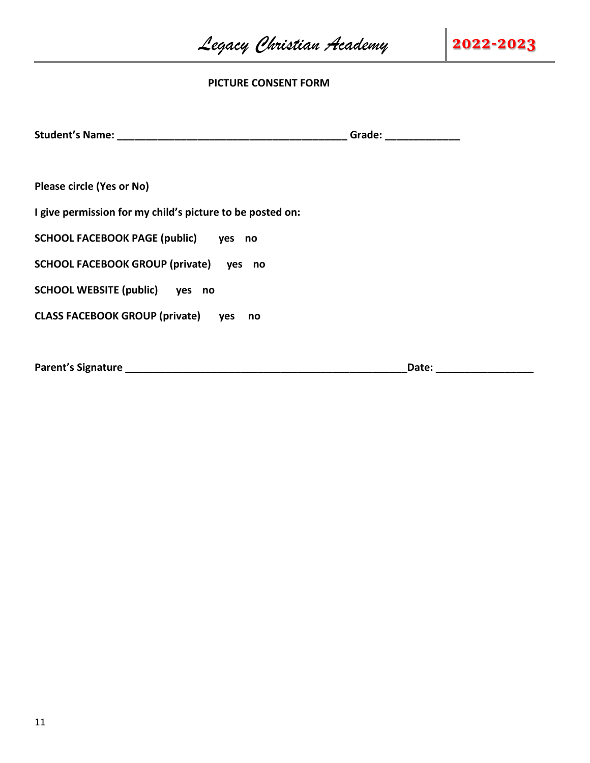*Legacy Christian Academy* **2022-2023**

#### **PICTURE CONSENT FORM**

|                                                           | Grade: ________________ |
|-----------------------------------------------------------|-------------------------|
|                                                           |                         |
| <b>Please circle (Yes or No)</b>                          |                         |
| I give permission for my child's picture to be posted on: |                         |
| SCHOOL FACEBOOK PAGE (public) yes no                      |                         |
| SCHOOL FACEBOOK GROUP (private) yes no                    |                         |
| SCHOOL WEBSITE (public) yes no                            |                         |
| CLASS FACEBOOK GROUP (private) yes<br>no                  |                         |
|                                                           |                         |
|                                                           | Date:                   |